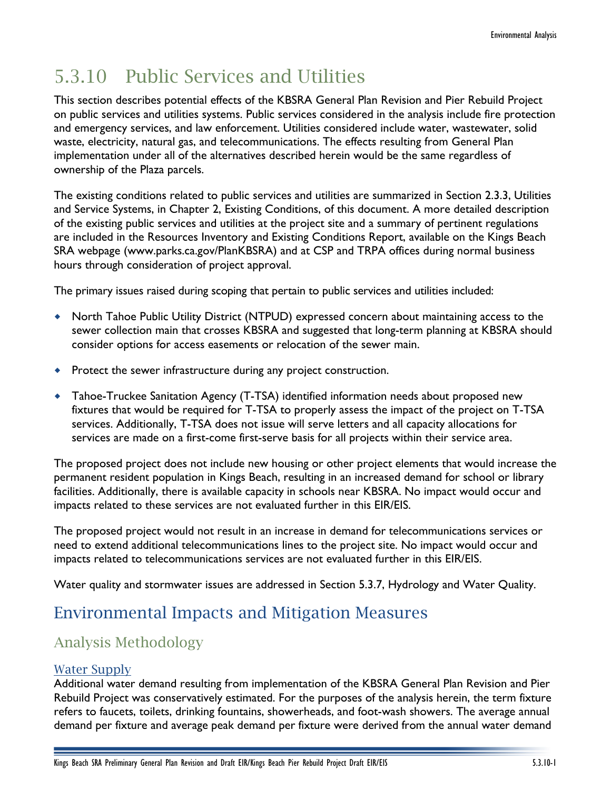# 5.3.10 Public Services and Utilities

This section describes potential effects of the KBSRA General Plan Revision and Pier Rebuild Project on public services and utilities systems. Public services considered in the analysis include fire protection and emergency services, and law enforcement. Utilities considered include water, wastewater, solid waste, electricity, natural gas, and telecommunications. The effects resulting from General Plan implementation under all of the alternatives described herein would be the same regardless of ownership of the Plaza parcels.

The existing conditions related to public services and utilities are summarized in Section 2.3.3, Utilities and Service Systems, in Chapter 2, Existing Conditions, of this document. A more detailed description of the existing public services and utilities at the project site and a summary of pertinent regulations are included in the Resources Inventory and Existing Conditions Report, available on the Kings Beach SRA webpage (www.parks.ca.gov/PlanKBSRA) and at CSP and TRPA offices during normal business hours through consideration of project approval.

The primary issues raised during scoping that pertain to public services and utilities included:

- North Tahoe Public Utility District (NTPUD) expressed concern about maintaining access to the sewer collection main that crosses KBSRA and suggested that long-term planning at KBSRA should consider options for access easements or relocation of the sewer main.
- Protect the sewer infrastructure during any project construction.
- Tahoe-Truckee Sanitation Agency (T-TSA) identified information needs about proposed new fixtures that would be required for T-TSA to properly assess the impact of the project on T-TSA services. Additionally, T-TSA does not issue will serve letters and all capacity allocations for services are made on a first-come first-serve basis for all projects within their service area.

The proposed project does not include new housing or other project elements that would increase the permanent resident population in Kings Beach, resulting in an increased demand for school or library facilities. Additionally, there is available capacity in schools near KBSRA. No impact would occur and impacts related to these services are not evaluated further in this EIR/EIS.

The proposed project would not result in an increase in demand for telecommunications services or need to extend additional telecommunications lines to the project site. No impact would occur and impacts related to telecommunications services are not evaluated further in this EIR/EIS.

Water quality and stormwater issues are addressed in Section 5.3.7, Hydrology and Water Quality.

# Environmental Impacts and Mitigation Measures

# Analysis Methodology

## Water Supply

Additional water demand resulting from implementation of the KBSRA General Plan Revision and Pier Rebuild Project was conservatively estimated. For the purposes of the analysis herein, the term fixture refers to faucets, toilets, drinking fountains, showerheads, and foot-wash showers. The average annual demand per fixture and average peak demand per fixture were derived from the annual water demand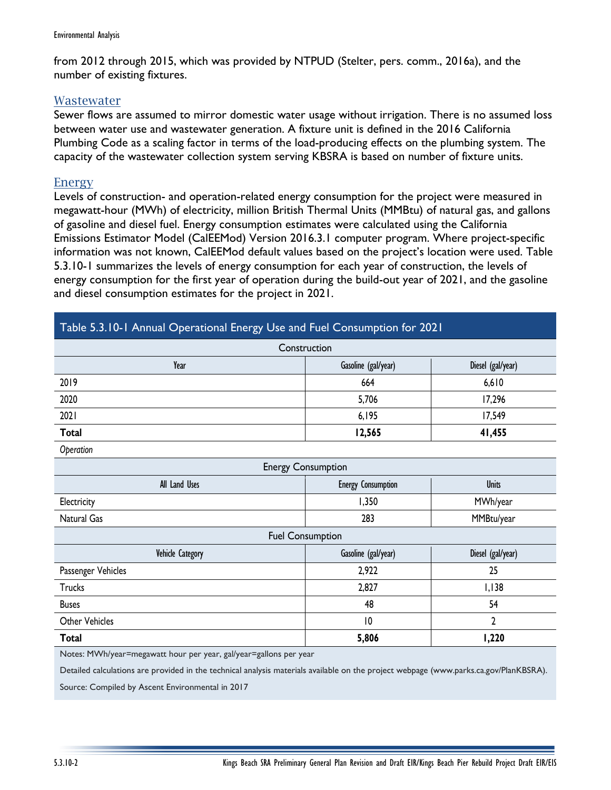from 2012 through 2015, which was provided by NTPUD (Stelter, pers. comm., 2016a), and the number of existing fixtures.

## **Wastewater**

Sewer flows are assumed to mirror domestic water usage without irrigation. There is no assumed loss between water use and wastewater generation. A fixture unit is defined in the 2016 California Plumbing Code as a scaling factor in terms of the load-producing effects on the plumbing system. The capacity of the wastewater collection system serving KBSRA is based on number of fixture units.

## Energy

Levels of construction- and operation-related energy consumption for the project were measured in megawatt-hour (MWh) of electricity, million British Thermal Units (MMBtu) of natural gas, and gallons of gasoline and diesel fuel. Energy consumption estimates were calculated using the California Emissions Estimator Model (CalEEMod) Version 2016.3.1 computer program. Where project-specific information was not known, CalEEMod default values based on the project's location were used. Table 5.3.10-1 summarizes the levels of energy consumption for each year of construction, the levels of energy consumption for the first year of operation during the build-out year of 2021, and the gasoline and diesel consumption estimates for the project in 2021.

## Table 5.3.10-1 Annual Operational Energy Use and Fuel Consumption for 2021

| Construction                                                                                                                          |                           |                   |
|---------------------------------------------------------------------------------------------------------------------------------------|---------------------------|-------------------|
| Year                                                                                                                                  | Gasoline (gal/year)       | Diesel (gal/year) |
| 2019                                                                                                                                  | 664                       | 6,610             |
| 2020                                                                                                                                  | 5,706                     | 17,296            |
| 2021                                                                                                                                  | 6,195                     | 17,549            |
| <b>Total</b>                                                                                                                          | 12,565                    | 41,455            |
| Operation                                                                                                                             |                           |                   |
| <b>Energy Consumption</b>                                                                                                             |                           |                   |
| All Land Uses                                                                                                                         | <b>Energy Consumption</b> | <b>Units</b>      |
| Electricity                                                                                                                           | 1,350                     | MWh/year          |
| Natural Gas                                                                                                                           | 283                       | MMBtu/year        |
| <b>Fuel Consumption</b>                                                                                                               |                           |                   |
| Vehicle Category                                                                                                                      | Gasoline (gal/year)       | Diesel (gal/year) |
| Passenger Vehicles                                                                                                                    | 2,922                     | 25                |
| <b>Trucks</b>                                                                                                                         | 2,827                     | I, I38            |
| <b>Buses</b>                                                                                                                          | 48                        | 54                |
| <b>Other Vehicles</b>                                                                                                                 | 10                        | $\overline{2}$    |
| <b>Total</b>                                                                                                                          | 5,806                     | 1,220             |
| Notes: MWh/year=megawatt hour per year, gal/year=gallons per year                                                                     |                           |                   |
| Detailed calculations are provided in the technical analysis materials available on the project webpage (www.parks.ca.gov/PlanKBSRA). |                           |                   |

Source: Compiled by Ascent Environmental in 2017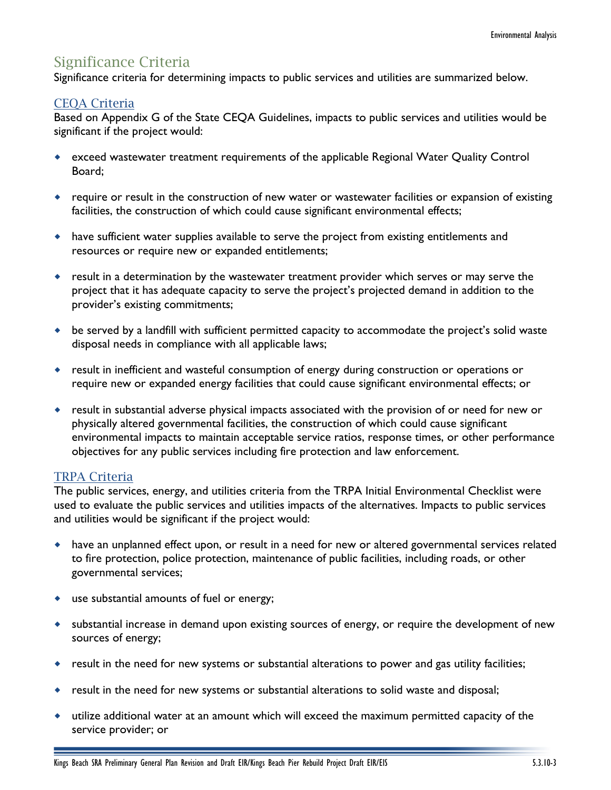# Significance Criteria

Significance criteria for determining impacts to public services and utilities are summarized below.

## CEQA Criteria

Based on Appendix G of the State CEQA Guidelines, impacts to public services and utilities would be significant if the project would:

- exceed wastewater treatment requirements of the applicable Regional Water Quality Control Board;
- require or result in the construction of new water or wastewater facilities or expansion of existing facilities, the construction of which could cause significant environmental effects;
- have sufficient water supplies available to serve the project from existing entitlements and resources or require new or expanded entitlements;
- result in a determination by the wastewater treatment provider which serves or may serve the project that it has adequate capacity to serve the project's projected demand in addition to the provider's existing commitments;
- be served by a landfill with sufficient permitted capacity to accommodate the project's solid waste disposal needs in compliance with all applicable laws;
- result in inefficient and wasteful consumption of energy during construction or operations or require new or expanded energy facilities that could cause significant environmental effects; or
- result in substantial adverse physical impacts associated with the provision of or need for new or physically altered governmental facilities, the construction of which could cause significant environmental impacts to maintain acceptable service ratios, response times, or other performance objectives for any public services including fire protection and law enforcement.

## TRPA Criteria

The public services, energy, and utilities criteria from the TRPA Initial Environmental Checklist were used to evaluate the public services and utilities impacts of the alternatives. Impacts to public services and utilities would be significant if the project would:

- have an unplanned effect upon, or result in a need for new or altered governmental services related to fire protection, police protection, maintenance of public facilities, including roads, or other governmental services;
- use substantial amounts of fuel or energy;
- substantial increase in demand upon existing sources of energy, or require the development of new sources of energy;
- result in the need for new systems or substantial alterations to power and gas utility facilities;
- result in the need for new systems or substantial alterations to solid waste and disposal;
- utilize additional water at an amount which will exceed the maximum permitted capacity of the service provider; or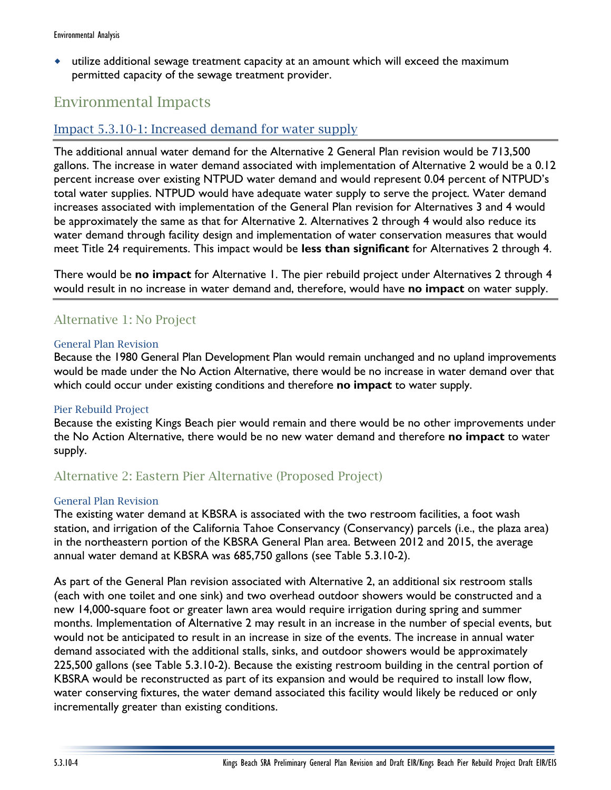utilize additional sewage treatment capacity at an amount which will exceed the maximum permitted capacity of the sewage treatment provider.

## Environmental Impacts

## Impact 5.3.10-1: Increased demand for water supply

The additional annual water demand for the Alternative 2 General Plan revision would be 713,500 gallons. The increase in water demand associated with implementation of Alternative 2 would be a 0.12 percent increase over existing NTPUD water demand and would represent 0.04 percent of NTPUD's total water supplies. NTPUD would have adequate water supply to serve the project. Water demand increases associated with implementation of the General Plan revision for Alternatives 3 and 4 would be approximately the same as that for Alternative 2. Alternatives 2 through 4 would also reduce its water demand through facility design and implementation of water conservation measures that would meet Title 24 requirements. This impact would be **less than significant** for Alternatives 2 through 4.

There would be **no impact** for Alternative 1. The pier rebuild project under Alternatives 2 through 4 would result in no increase in water demand and, therefore, would have **no impact** on water supply.

## Alternative 1: No Project

### General Plan Revision

Because the 1980 General Plan Development Plan would remain unchanged and no upland improvements would be made under the No Action Alternative, there would be no increase in water demand over that which could occur under existing conditions and therefore **no impact** to water supply.

## Pier Rebuild Project

Because the existing Kings Beach pier would remain and there would be no other improvements under the No Action Alternative, there would be no new water demand and therefore **no impact** to water supply.

## Alternative 2: Eastern Pier Alternative (Proposed Project)

## General Plan Revision

The existing water demand at KBSRA is associated with the two restroom facilities, a foot wash station, and irrigation of the California Tahoe Conservancy (Conservancy) parcels (i.e., the plaza area) in the northeastern portion of the KBSRA General Plan area. Between 2012 and 2015, the average annual water demand at KBSRA was 685,750 gallons (see Table 5.3.10-2).

As part of the General Plan revision associated with Alternative 2, an additional six restroom stalls (each with one toilet and one sink) and two overhead outdoor showers would be constructed and a new 14,000-square foot or greater lawn area would require irrigation during spring and summer months. Implementation of Alternative 2 may result in an increase in the number of special events, but would not be anticipated to result in an increase in size of the events. The increase in annual water demand associated with the additional stalls, sinks, and outdoor showers would be approximately 225,500 gallons (see Table 5.3.10-2). Because the existing restroom building in the central portion of KBSRA would be reconstructed as part of its expansion and would be required to install low flow, water conserving fixtures, the water demand associated this facility would likely be reduced or only incrementally greater than existing conditions.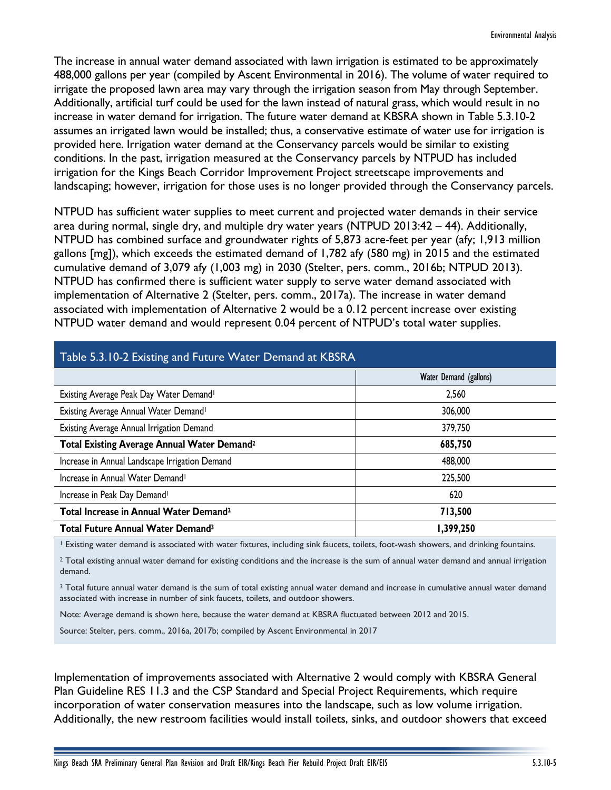The increase in annual water demand associated with lawn irrigation is estimated to be approximately 488,000 gallons per year (compiled by Ascent Environmental in 2016). The volume of water required to irrigate the proposed lawn area may vary through the irrigation season from May through September. Additionally, artificial turf could be used for the lawn instead of natural grass, which would result in no increase in water demand for irrigation. The future water demand at KBSRA shown in Table 5.3.10-2 assumes an irrigated lawn would be installed; thus, a conservative estimate of water use for irrigation is provided here. Irrigation water demand at the Conservancy parcels would be similar to existing conditions. In the past, irrigation measured at the Conservancy parcels by NTPUD has included irrigation for the Kings Beach Corridor Improvement Project streetscape improvements and landscaping; however, irrigation for those uses is no longer provided through the Conservancy parcels.

NTPUD has sufficient water supplies to meet current and projected water demands in their service area during normal, single dry, and multiple dry water years (NTPUD 2013:42 – 44). Additionally, NTPUD has combined surface and groundwater rights of 5,873 acre-feet per year (afy; 1,913 million gallons [mg]), which exceeds the estimated demand of 1,782 afy (580 mg) in 2015 and the estimated cumulative demand of 3,079 afy (1,003 mg) in 2030 (Stelter, pers. comm., 2016b; NTPUD 2013). NTPUD has confirmed there is sufficient water supply to serve water demand associated with implementation of Alternative 2 (Stelter, pers. comm., 2017a). The increase in water demand associated with implementation of Alternative 2 would be a 0.12 percent increase over existing NTPUD water demand and would represent 0.04 percent of NTPUD's total water supplies.

| Table 5.3.10-2 Existing and Future Water Demand at KBSRA |                        |  |
|----------------------------------------------------------|------------------------|--|
|                                                          | Water Demand (gallons) |  |
| Existing Average Peak Day Water Demand <sup>1</sup>      | 2,560                  |  |
| Existing Average Annual Water Demand <sup>1</sup>        | 306,000                |  |
| Existing Average Annual Irrigation Demand                | 379,750                |  |
| Total Existing Average Annual Water Demand <sup>2</sup>  | 685,750                |  |
| Increase in Annual Landscape Irrigation Demand           | 488,000                |  |
| Increase in Annual Water Demand <sup>1</sup>             | 225,500                |  |
| Increase in Peak Day Demand <sup>1</sup>                 | 620                    |  |
| Total Increase in Annual Water Demand <sup>2</sup>       | 713,500                |  |
| Total Future Annual Water Demand <sup>3</sup>            | 1,399,250              |  |

## Table 5.3.10-2 Existing and Future Water Demand at KBSRA

<sup>1</sup> Existing water demand is associated with water fixtures, including sink faucets, toilets, foot-wash showers, and drinking fountains.

 $2$  Total existing annual water demand for existing conditions and the increase is the sum of annual water demand and annual irrigation demand.

<sup>3</sup> Total future annual water demand is the sum of total existing annual water demand and increase in cumulative annual water demand associated with increase in number of sink faucets, toilets, and outdoor showers.

Note: Average demand is shown here, because the water demand at KBSRA fluctuated between 2012 and 2015.

Source: Stelter, pers. comm., 2016a, 2017b; compiled by Ascent Environmental in 2017

Implementation of improvements associated with Alternative 2 would comply with KBSRA General Plan Guideline RES 11.3 and the CSP Standard and Special Project Requirements, which require incorporation of water conservation measures into the landscape, such as low volume irrigation. Additionally, the new restroom facilities would install toilets, sinks, and outdoor showers that exceed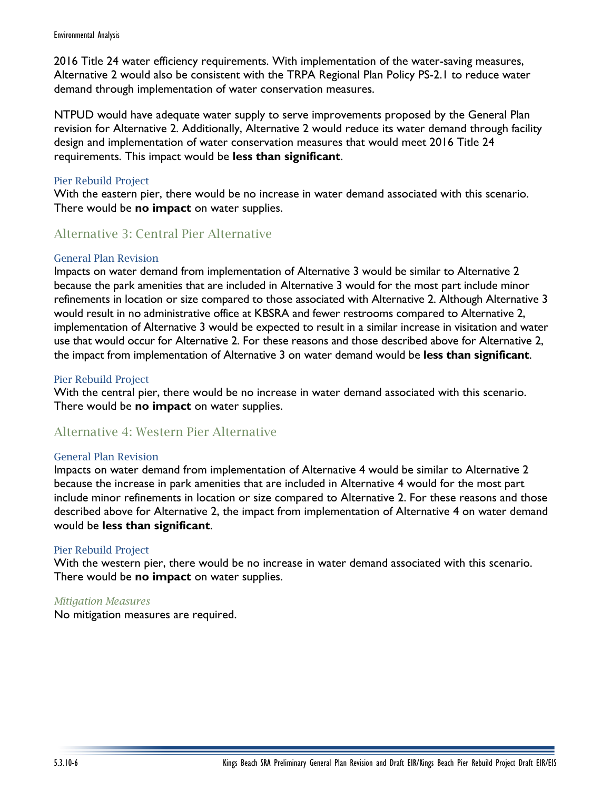2016 Title 24 water efficiency requirements. With implementation of the water-saving measures, Alternative 2 would also be consistent with the TRPA Regional Plan Policy PS-2.1 to reduce water demand through implementation of water conservation measures.

NTPUD would have adequate water supply to serve improvements proposed by the General Plan revision for Alternative 2. Additionally, Alternative 2 would reduce its water demand through facility design and implementation of water conservation measures that would meet 2016 Title 24 requirements. This impact would be **less than significant**.

### Pier Rebuild Project

With the eastern pier, there would be no increase in water demand associated with this scenario. There would be **no impact** on water supplies.

## Alternative 3: Central Pier Alternative

### General Plan Revision

Impacts on water demand from implementation of Alternative 3 would be similar to Alternative 2 because the park amenities that are included in Alternative 3 would for the most part include minor refinements in location or size compared to those associated with Alternative 2. Although Alternative 3 would result in no administrative office at KBSRA and fewer restrooms compared to Alternative 2, implementation of Alternative 3 would be expected to result in a similar increase in visitation and water use that would occur for Alternative 2. For these reasons and those described above for Alternative 2, the impact from implementation of Alternative 3 on water demand would be **less than significant**.

### Pier Rebuild Project

With the central pier, there would be no increase in water demand associated with this scenario. There would be **no impact** on water supplies.

## Alternative 4: Western Pier Alternative

#### General Plan Revision

Impacts on water demand from implementation of Alternative 4 would be similar to Alternative 2 because the increase in park amenities that are included in Alternative 4 would for the most part include minor refinements in location or size compared to Alternative 2. For these reasons and those described above for Alternative 2, the impact from implementation of Alternative 4 on water demand would be **less than significant**.

#### Pier Rebuild Project

With the western pier, there would be no increase in water demand associated with this scenario. There would be **no impact** on water supplies.

#### *Mitigation Measures*

No mitigation measures are required.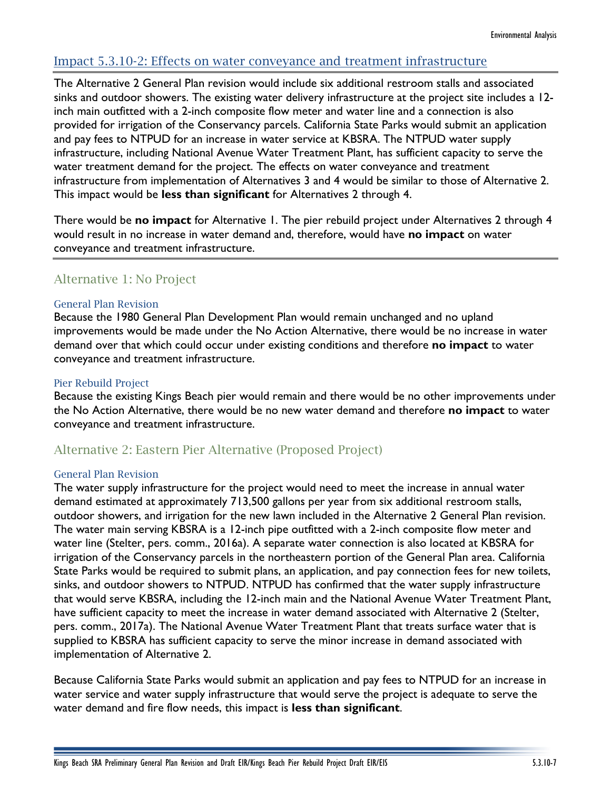## Impact 5.3.10-2: Effects on water conveyance and treatment infrastructure

The Alternative 2 General Plan revision would include six additional restroom stalls and associated sinks and outdoor showers. The existing water delivery infrastructure at the project site includes a 12 inch main outfitted with a 2-inch composite flow meter and water line and a connection is also provided for irrigation of the Conservancy parcels. California State Parks would submit an application and pay fees to NTPUD for an increase in water service at KBSRA. The NTPUD water supply infrastructure, including National Avenue Water Treatment Plant, has sufficient capacity to serve the water treatment demand for the project. The effects on water conveyance and treatment infrastructure from implementation of Alternatives 3 and 4 would be similar to those of Alternative 2. This impact would be **less than significant** for Alternatives 2 through 4.

There would be **no impact** for Alternative 1. The pier rebuild project under Alternatives 2 through 4 would result in no increase in water demand and, therefore, would have **no impact** on water conveyance and treatment infrastructure.

## Alternative 1: No Project

#### General Plan Revision

Because the 1980 General Plan Development Plan would remain unchanged and no upland improvements would be made under the No Action Alternative, there would be no increase in water demand over that which could occur under existing conditions and therefore **no impact** to water conveyance and treatment infrastructure.

#### Pier Rebuild Project

Because the existing Kings Beach pier would remain and there would be no other improvements under the No Action Alternative, there would be no new water demand and therefore **no impact** to water conveyance and treatment infrastructure.

## Alternative 2: Eastern Pier Alternative (Proposed Project)

#### General Plan Revision

The water supply infrastructure for the project would need to meet the increase in annual water demand estimated at approximately 713,500 gallons per year from six additional restroom stalls, outdoor showers, and irrigation for the new lawn included in the Alternative 2 General Plan revision. The water main serving KBSRA is a 12-inch pipe outfitted with a 2-inch composite flow meter and water line (Stelter, pers. comm., 2016a). A separate water connection is also located at KBSRA for irrigation of the Conservancy parcels in the northeastern portion of the General Plan area. California State Parks would be required to submit plans, an application, and pay connection fees for new toilets, sinks, and outdoor showers to NTPUD. NTPUD has confirmed that the water supply infrastructure that would serve KBSRA, including the 12-inch main and the National Avenue Water Treatment Plant, have sufficient capacity to meet the increase in water demand associated with Alternative 2 (Stelter, pers. comm., 2017a). The National Avenue Water Treatment Plant that treats surface water that is supplied to KBSRA has sufficient capacity to serve the minor increase in demand associated with implementation of Alternative 2.

Because California State Parks would submit an application and pay fees to NTPUD for an increase in water service and water supply infrastructure that would serve the project is adequate to serve the water demand and fire flow needs, this impact is **less than significant**.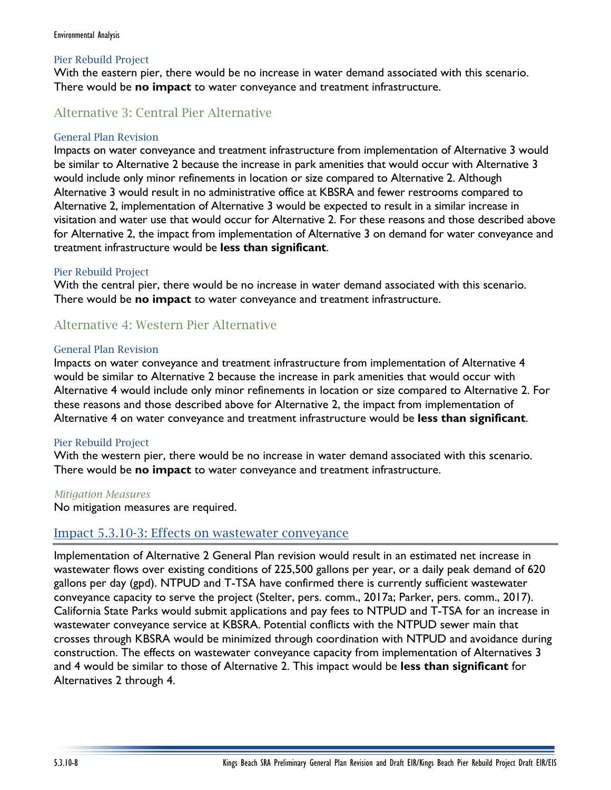## Pier Rebuild Project

With the eastern pier, there would be no increase in water demand associated with this scenario. There would be **no impact** to water conveyance and treatment infrastructure.

## Alternative 3: Central Pier Alternative

## General Plan Revision

Impacts on water conveyance and treatment infrastructure from implementation of Alternative 3 would be similar to Alternative 2 because the increase in park amenities that would occur with Alternative 3 would include only minor refinements in location or size compared to Alternative 2. Although Alternative 3 would result in no administrative office at KBSRA and fewer restrooms compared to Alternative 2, implementation of Alternative 3 would be expected to result in a similar increase in visitation and water use that would occur for Alternative 2. For these reasons and those described above for Alternative 2, the impact from implementation of Alternative 3 on demand for water conveyance and treatment infrastructure would be **less than significant**.

### Pier Rebuild Project

With the central pier, there would be no increase in water demand associated with this scenario. There would be **no impact** to water conveyance and treatment infrastructure.

## Alternative 4: Western Pier Alternative

#### General Plan Revision

Impacts on water conveyance and treatment infrastructure from implementation of Alternative 4 would be similar to Alternative 2 because the increase in park amenities that would occur with Alternative 4 would include only minor refinements in location or size compared to Alternative 2. For these reasons and those described above for Alternative 2, the impact from implementation of Alternative 4 on water conveyance and treatment infrastructure would be **less than significant**.

## Pier Rebuild Project

With the western pier, there would be no increase in water demand associated with this scenario. There would be **no impact** to water conveyance and treatment infrastructure.

#### *Mitigation Measures*

No mitigation measures are required.

## Impact 5.3.10-3: Effects on wastewater conveyance

Implementation of Alternative 2 General Plan revision would result in an estimated net increase in wastewater flows over existing conditions of 225,500 gallons per year, or a daily peak demand of 620 gallons per day (gpd). NTPUD and T-TSA have confirmed there is currently sufficient wastewater conveyance capacity to serve the project (Stelter, pers. comm., 2017a; Parker, pers. comm., 2017). California State Parks would submit applications and pay fees to NTPUD and T-TSA for an increase in wastewater conveyance service at KBSRA. Potential conflicts with the NTPUD sewer main that crosses through KBSRA would be minimized through coordination with NTPUD and avoidance during construction. The effects on wastewater conveyance capacity from implementation of Alternatives 3 and 4 would be similar to those of Alternative 2. This impact would be **less than significant** for Alternatives 2 through 4.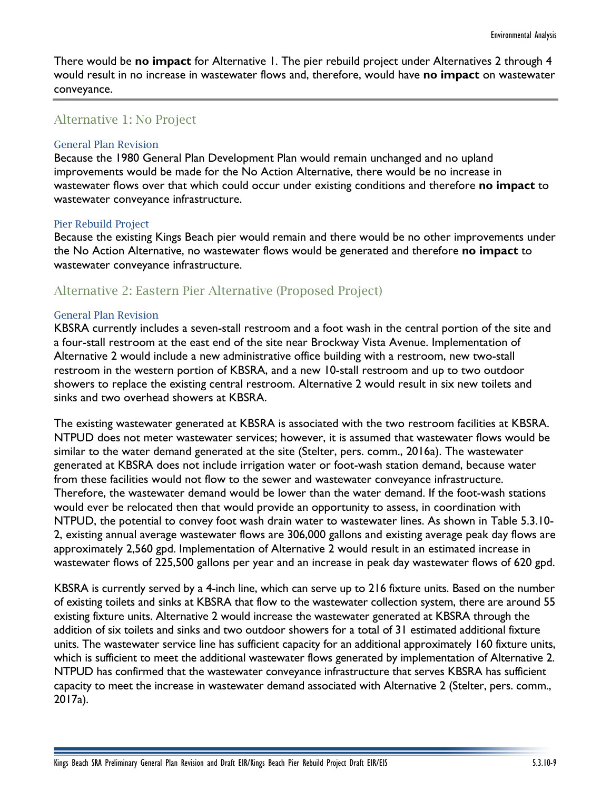There would be **no impact** for Alternative 1. The pier rebuild project under Alternatives 2 through 4 would result in no increase in wastewater flows and, therefore, would have **no impact** on wastewater conveyance.

## Alternative 1: No Project

#### General Plan Revision

Because the 1980 General Plan Development Plan would remain unchanged and no upland improvements would be made for the No Action Alternative, there would be no increase in wastewater flows over that which could occur under existing conditions and therefore **no impact** to wastewater conveyance infrastructure.

#### Pier Rebuild Project

Because the existing Kings Beach pier would remain and there would be no other improvements under the No Action Alternative, no wastewater flows would be generated and therefore **no impact** to wastewater conveyance infrastructure.

## Alternative 2: Eastern Pier Alternative (Proposed Project)

#### General Plan Revision

KBSRA currently includes a seven-stall restroom and a foot wash in the central portion of the site and a four-stall restroom at the east end of the site near Brockway Vista Avenue. Implementation of Alternative 2 would include a new administrative office building with a restroom, new two-stall restroom in the western portion of KBSRA, and a new 10-stall restroom and up to two outdoor showers to replace the existing central restroom. Alternative 2 would result in six new toilets and sinks and two overhead showers at KBSRA.

The existing wastewater generated at KBSRA is associated with the two restroom facilities at KBSRA. NTPUD does not meter wastewater services; however, it is assumed that wastewater flows would be similar to the water demand generated at the site (Stelter, pers. comm., 2016a). The wastewater generated at KBSRA does not include irrigation water or foot-wash station demand, because water from these facilities would not flow to the sewer and wastewater conveyance infrastructure. Therefore, the wastewater demand would be lower than the water demand. If the foot-wash stations would ever be relocated then that would provide an opportunity to assess, in coordination with NTPUD, the potential to convey foot wash drain water to wastewater lines. As shown in Table 5.3.10- 2, existing annual average wastewater flows are 306,000 gallons and existing average peak day flows are approximately 2,560 gpd. Implementation of Alternative 2 would result in an estimated increase in wastewater flows of 225,500 gallons per year and an increase in peak day wastewater flows of 620 gpd.

KBSRA is currently served by a 4-inch line, which can serve up to 216 fixture units. Based on the number of existing toilets and sinks at KBSRA that flow to the wastewater collection system, there are around 55 existing fixture units. Alternative 2 would increase the wastewater generated at KBSRA through the addition of six toilets and sinks and two outdoor showers for a total of 31 estimated additional fixture units. The wastewater service line has sufficient capacity for an additional approximately 160 fixture units, which is sufficient to meet the additional wastewater flows generated by implementation of Alternative 2. NTPUD has confirmed that the wastewater conveyance infrastructure that serves KBSRA has sufficient capacity to meet the increase in wastewater demand associated with Alternative 2 (Stelter, pers. comm., 2017a).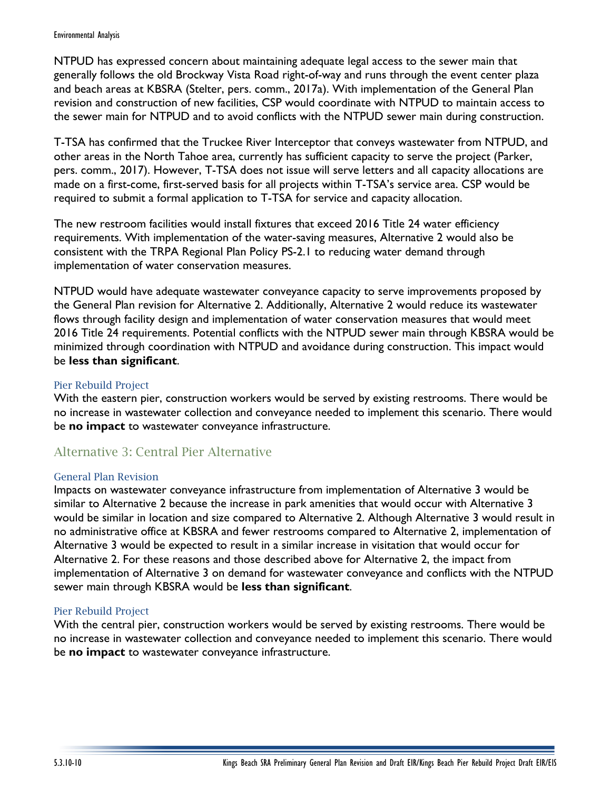NTPUD has expressed concern about maintaining adequate legal access to the sewer main that generally follows the old Brockway Vista Road right-of-way and runs through the event center plaza and beach areas at KBSRA (Stelter, pers. comm., 2017a). With implementation of the General Plan revision and construction of new facilities, CSP would coordinate with NTPUD to maintain access to the sewer main for NTPUD and to avoid conflicts with the NTPUD sewer main during construction.

T-TSA has confirmed that the Truckee River Interceptor that conveys wastewater from NTPUD, and other areas in the North Tahoe area, currently has sufficient capacity to serve the project (Parker, pers. comm., 2017). However, T-TSA does not issue will serve letters and all capacity allocations are made on a first-come, first-served basis for all projects within T-TSA's service area. CSP would be required to submit a formal application to T-TSA for service and capacity allocation.

The new restroom facilities would install fixtures that exceed 2016 Title 24 water efficiency requirements. With implementation of the water-saving measures, Alternative 2 would also be consistent with the TRPA Regional Plan Policy PS-2.1 to reducing water demand through implementation of water conservation measures.

NTPUD would have adequate wastewater conveyance capacity to serve improvements proposed by the General Plan revision for Alternative 2. Additionally, Alternative 2 would reduce its wastewater flows through facility design and implementation of water conservation measures that would meet 2016 Title 24 requirements. Potential conflicts with the NTPUD sewer main through KBSRA would be minimized through coordination with NTPUD and avoidance during construction. This impact would be **less than significant**.

## Pier Rebuild Project

With the eastern pier, construction workers would be served by existing restrooms. There would be no increase in wastewater collection and conveyance needed to implement this scenario. There would be **no impact** to wastewater conveyance infrastructure.

## Alternative 3: Central Pier Alternative

#### General Plan Revision

Impacts on wastewater conveyance infrastructure from implementation of Alternative 3 would be similar to Alternative 2 because the increase in park amenities that would occur with Alternative 3 would be similar in location and size compared to Alternative 2. Although Alternative 3 would result in no administrative office at KBSRA and fewer restrooms compared to Alternative 2, implementation of Alternative 3 would be expected to result in a similar increase in visitation that would occur for Alternative 2. For these reasons and those described above for Alternative 2, the impact from implementation of Alternative 3 on demand for wastewater conveyance and conflicts with the NTPUD sewer main through KBSRA would be **less than significant**.

## Pier Rebuild Project

With the central pier, construction workers would be served by existing restrooms. There would be no increase in wastewater collection and conveyance needed to implement this scenario. There would be **no impact** to wastewater conveyance infrastructure.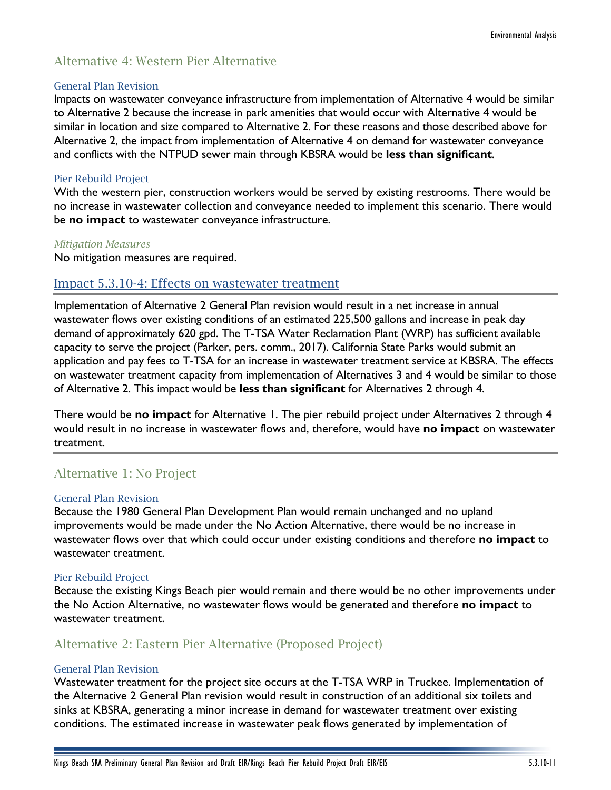## Alternative 4: Western Pier Alternative

#### General Plan Revision

Impacts on wastewater conveyance infrastructure from implementation of Alternative 4 would be similar to Alternative 2 because the increase in park amenities that would occur with Alternative 4 would be similar in location and size compared to Alternative 2. For these reasons and those described above for Alternative 2, the impact from implementation of Alternative 4 on demand for wastewater conveyance and conflicts with the NTPUD sewer main through KBSRA would be **less than significant**.

### Pier Rebuild Project

With the western pier, construction workers would be served by existing restrooms. There would be no increase in wastewater collection and conveyance needed to implement this scenario. There would be **no impact** to wastewater conveyance infrastructure.

#### *Mitigation Measures*

No mitigation measures are required.

## Impact 5.3.10-4: Effects on wastewater treatment

Implementation of Alternative 2 General Plan revision would result in a net increase in annual wastewater flows over existing conditions of an estimated 225,500 gallons and increase in peak day demand of approximately 620 gpd. The T-TSA Water Reclamation Plant (WRP) has sufficient available capacity to serve the project (Parker, pers. comm., 2017). California State Parks would submit an application and pay fees to T-TSA for an increase in wastewater treatment service at KBSRA. The effects on wastewater treatment capacity from implementation of Alternatives 3 and 4 would be similar to those of Alternative 2. This impact would be **less than significant** for Alternatives 2 through 4.

There would be **no impact** for Alternative 1. The pier rebuild project under Alternatives 2 through 4 would result in no increase in wastewater flows and, therefore, would have **no impact** on wastewater treatment.

## Alternative 1: No Project

#### General Plan Revision

Because the 1980 General Plan Development Plan would remain unchanged and no upland improvements would be made under the No Action Alternative, there would be no increase in wastewater flows over that which could occur under existing conditions and therefore **no impact** to wastewater treatment.

#### Pier Rebuild Project

Because the existing Kings Beach pier would remain and there would be no other improvements under the No Action Alternative, no wastewater flows would be generated and therefore **no impact** to wastewater treatment.

## Alternative 2: Eastern Pier Alternative (Proposed Project)

## General Plan Revision

Wastewater treatment for the project site occurs at the T-TSA WRP in Truckee. Implementation of the Alternative 2 General Plan revision would result in construction of an additional six toilets and sinks at KBSRA, generating a minor increase in demand for wastewater treatment over existing conditions. The estimated increase in wastewater peak flows generated by implementation of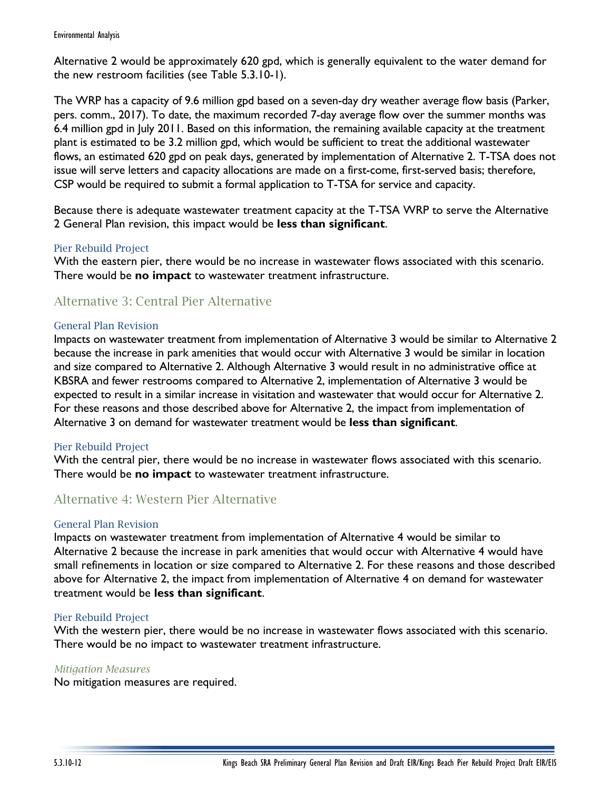Alternative 2 would be approximately 620 gpd, which is generally equivalent to the water demand for the new restroom facilities (see Table 5.3.10-1).

The WRP has a capacity of 9.6 million gpd based on a seven-day dry weather average flow basis (Parker, pers. comm., 2017). To date, the maximum recorded 7-day average flow over the summer months was 6.4 million gpd in July 2011. Based on this information, the remaining available capacity at the treatment plant is estimated to be 3.2 million gpd, which would be sufficient to treat the additional wastewater flows, an estimated 620 gpd on peak days, generated by implementation of Alternative 2. T-TSA does not issue will serve letters and capacity allocations are made on a first-come, first-served basis; therefore, CSP would be required to submit a formal application to T-TSA for service and capacity.

Because there is adequate wastewater treatment capacity at the T-TSA WRP to serve the Alternative 2 General Plan revision, this impact would be **less than significant**.

## Pier Rebuild Project

With the eastern pier, there would be no increase in wastewater flows associated with this scenario. There would be **no impact** to wastewater treatment infrastructure.

## Alternative 3: Central Pier Alternative

### General Plan Revision

Impacts on wastewater treatment from implementation of Alternative 3 would be similar to Alternative 2 because the increase in park amenities that would occur with Alternative 3 would be similar in location and size compared to Alternative 2. Although Alternative 3 would result in no administrative office at KBSRA and fewer restrooms compared to Alternative 2, implementation of Alternative 3 would be expected to result in a similar increase in visitation and wastewater that would occur for Alternative 2. For these reasons and those described above for Alternative 2, the impact from implementation of Alternative 3 on demand for wastewater treatment would be **less than significant**.

## Pier Rebuild Project

With the central pier, there would be no increase in wastewater flows associated with this scenario. There would be **no impact** to wastewater treatment infrastructure.

## Alternative 4: Western Pier Alternative

#### General Plan Revision

Impacts on wastewater treatment from implementation of Alternative 4 would be similar to Alternative 2 because the increase in park amenities that would occur with Alternative 4 would have small refinements in location or size compared to Alternative 2. For these reasons and those described above for Alternative 2, the impact from implementation of Alternative 4 on demand for wastewater treatment would be **less than significant**.

#### Pier Rebuild Project

With the western pier, there would be no increase in wastewater flows associated with this scenario. There would be no impact to wastewater treatment infrastructure.

### *Mitigation Measures*

No mitigation measures are required.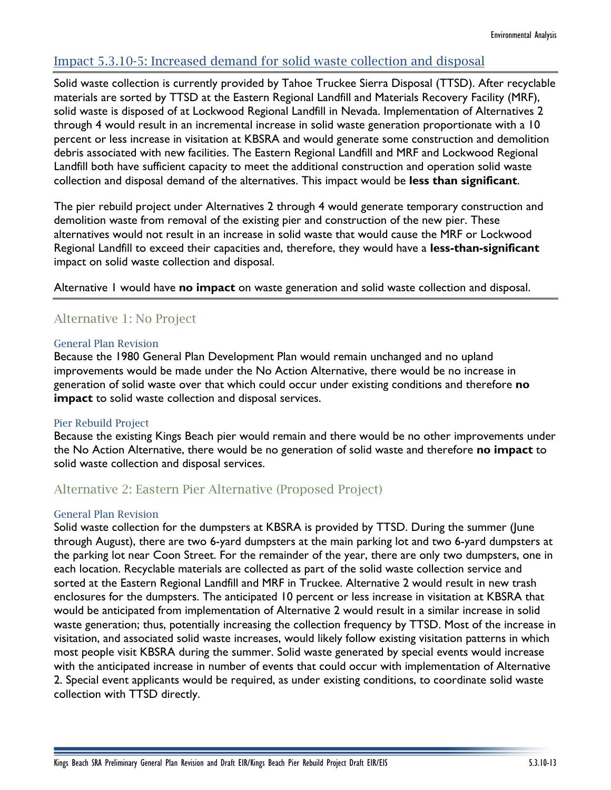## Impact 5.3.10-5: Increased demand for solid waste collection and disposal

Solid waste collection is currently provided by Tahoe Truckee Sierra Disposal (TTSD). After recyclable materials are sorted by TTSD at the Eastern Regional Landfill and Materials Recovery Facility (MRF), solid waste is disposed of at Lockwood Regional Landfill in Nevada. Implementation of Alternatives 2 through 4 would result in an incremental increase in solid waste generation proportionate with a 10 percent or less increase in visitation at KBSRA and would generate some construction and demolition debris associated with new facilities. The Eastern Regional Landfill and MRF and Lockwood Regional Landfill both have sufficient capacity to meet the additional construction and operation solid waste collection and disposal demand of the alternatives. This impact would be **less than significant**.

The pier rebuild project under Alternatives 2 through 4 would generate temporary construction and demolition waste from removal of the existing pier and construction of the new pier. These alternatives would not result in an increase in solid waste that would cause the MRF or Lockwood Regional Landfill to exceed their capacities and, therefore, they would have a **less-than-significant** impact on solid waste collection and disposal.

Alternative 1 would have **no impact** on waste generation and solid waste collection and disposal.

## Alternative 1: No Project

## General Plan Revision

Because the 1980 General Plan Development Plan would remain unchanged and no upland improvements would be made under the No Action Alternative, there would be no increase in generation of solid waste over that which could occur under existing conditions and therefore **no impact** to solid waste collection and disposal services.

## Pier Rebuild Project

Because the existing Kings Beach pier would remain and there would be no other improvements under the No Action Alternative, there would be no generation of solid waste and therefore **no impact** to solid waste collection and disposal services.

## Alternative 2: Eastern Pier Alternative (Proposed Project)

## General Plan Revision

Solid waste collection for the dumpsters at KBSRA is provided by TTSD. During the summer (June through August), there are two 6-yard dumpsters at the main parking lot and two 6-yard dumpsters at the parking lot near Coon Street. For the remainder of the year, there are only two dumpsters, one in each location. Recyclable materials are collected as part of the solid waste collection service and sorted at the Eastern Regional Landfill and MRF in Truckee. Alternative 2 would result in new trash enclosures for the dumpsters. The anticipated 10 percent or less increase in visitation at KBSRA that would be anticipated from implementation of Alternative 2 would result in a similar increase in solid waste generation; thus, potentially increasing the collection frequency by TTSD. Most of the increase in visitation, and associated solid waste increases, would likely follow existing visitation patterns in which most people visit KBSRA during the summer. Solid waste generated by special events would increase with the anticipated increase in number of events that could occur with implementation of Alternative 2. Special event applicants would be required, as under existing conditions, to coordinate solid waste collection with TTSD directly.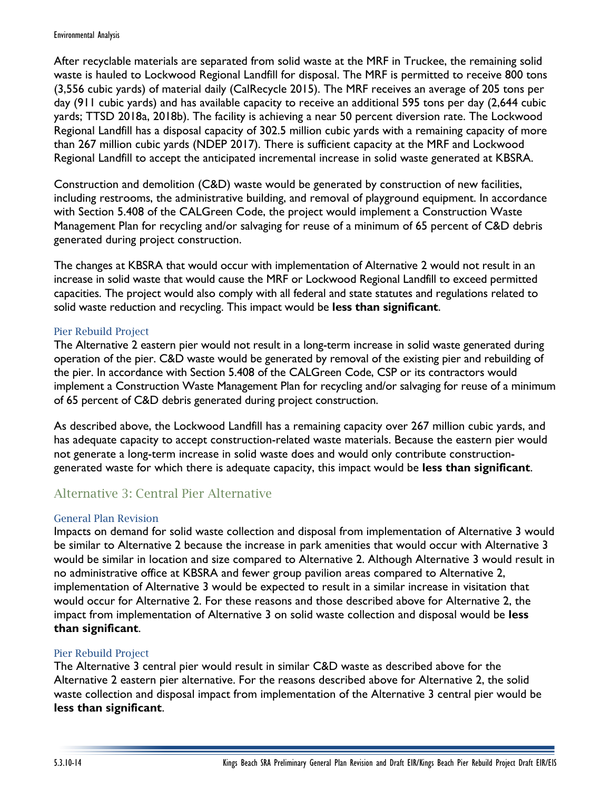After recyclable materials are separated from solid waste at the MRF in Truckee, the remaining solid waste is hauled to Lockwood Regional Landfill for disposal. The MRF is permitted to receive 800 tons (3,556 cubic yards) of material daily (CalRecycle 2015). The MRF receives an average of 205 tons per day (911 cubic yards) and has available capacity to receive an additional 595 tons per day (2,644 cubic yards; TTSD 2018a, 2018b). The facility is achieving a near 50 percent diversion rate. The Lockwood Regional Landfill has a disposal capacity of 302.5 million cubic yards with a remaining capacity of more than 267 million cubic yards (NDEP 2017). There is sufficient capacity at the MRF and Lockwood Regional Landfill to accept the anticipated incremental increase in solid waste generated at KBSRA.

Construction and demolition (C&D) waste would be generated by construction of new facilities, including restrooms, the administrative building, and removal of playground equipment. In accordance with Section 5.408 of the CALGreen Code, the project would implement a Construction Waste Management Plan for recycling and/or salvaging for reuse of a minimum of 65 percent of C&D debris generated during project construction.

The changes at KBSRA that would occur with implementation of Alternative 2 would not result in an increase in solid waste that would cause the MRF or Lockwood Regional Landfill to exceed permitted capacities. The project would also comply with all federal and state statutes and regulations related to solid waste reduction and recycling. This impact would be **less than significant**.

## Pier Rebuild Project

The Alternative 2 eastern pier would not result in a long-term increase in solid waste generated during operation of the pier. C&D waste would be generated by removal of the existing pier and rebuilding of the pier. In accordance with Section 5.408 of the CALGreen Code, CSP or its contractors would implement a Construction Waste Management Plan for recycling and/or salvaging for reuse of a minimum of 65 percent of C&D debris generated during project construction.

As described above, the Lockwood Landfill has a remaining capacity over 267 million cubic yards, and has adequate capacity to accept construction-related waste materials. Because the eastern pier would not generate a long-term increase in solid waste does and would only contribute constructiongenerated waste for which there is adequate capacity, this impact would be **less than significant**.

## Alternative 3: Central Pier Alternative

## General Plan Revision

Impacts on demand for solid waste collection and disposal from implementation of Alternative 3 would be similar to Alternative 2 because the increase in park amenities that would occur with Alternative 3 would be similar in location and size compared to Alternative 2. Although Alternative 3 would result in no administrative office at KBSRA and fewer group pavilion areas compared to Alternative 2, implementation of Alternative 3 would be expected to result in a similar increase in visitation that would occur for Alternative 2. For these reasons and those described above for Alternative 2, the impact from implementation of Alternative 3 on solid waste collection and disposal would be **less than significant**.

## Pier Rebuild Project

The Alternative 3 central pier would result in similar C&D waste as described above for the Alternative 2 eastern pier alternative. For the reasons described above for Alternative 2, the solid waste collection and disposal impact from implementation of the Alternative 3 central pier would be **less than significant**.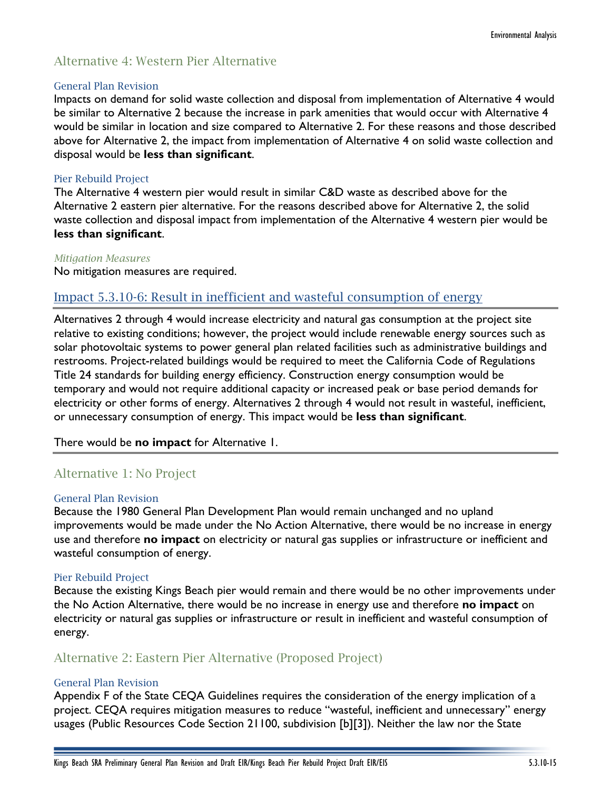## Alternative 4: Western Pier Alternative

### General Plan Revision

Impacts on demand for solid waste collection and disposal from implementation of Alternative 4 would be similar to Alternative 2 because the increase in park amenities that would occur with Alternative 4 would be similar in location and size compared to Alternative 2. For these reasons and those described above for Alternative 2, the impact from implementation of Alternative 4 on solid waste collection and disposal would be **less than significant**.

## Pier Rebuild Project

The Alternative 4 western pier would result in similar C&D waste as described above for the Alternative 2 eastern pier alternative. For the reasons described above for Alternative 2, the solid waste collection and disposal impact from implementation of the Alternative 4 western pier would be **less than significant**.

## *Mitigation Measures*

No mitigation measures are required.

## Impact 5.3.10-6: Result in inefficient and wasteful consumption of energy

Alternatives 2 through 4 would increase electricity and natural gas consumption at the project site relative to existing conditions; however, the project would include renewable energy sources such as solar photovoltaic systems to power general plan related facilities such as administrative buildings and restrooms. Project-related buildings would be required to meet the California Code of Regulations Title 24 standards for building energy efficiency. Construction energy consumption would be temporary and would not require additional capacity or increased peak or base period demands for electricity or other forms of energy. Alternatives 2 through 4 would not result in wasteful, inefficient, or unnecessary consumption of energy. This impact would be **less than significant**.

## There would be **no impact** for Alternative 1.

## Alternative 1: No Project

#### General Plan Revision

Because the 1980 General Plan Development Plan would remain unchanged and no upland improvements would be made under the No Action Alternative, there would be no increase in energy use and therefore **no impact** on electricity or natural gas supplies or infrastructure or inefficient and wasteful consumption of energy.

## Pier Rebuild Project

Because the existing Kings Beach pier would remain and there would be no other improvements under the No Action Alternative, there would be no increase in energy use and therefore **no impact** on electricity or natural gas supplies or infrastructure or result in inefficient and wasteful consumption of energy.

## Alternative 2: Eastern Pier Alternative (Proposed Project)

## General Plan Revision

Appendix F of the State CEQA Guidelines requires the consideration of the energy implication of a project. CEQA requires mitigation measures to reduce "wasteful, inefficient and unnecessary" energy usages (Public Resources Code Section 21100, subdivision [b][3]). Neither the law nor the State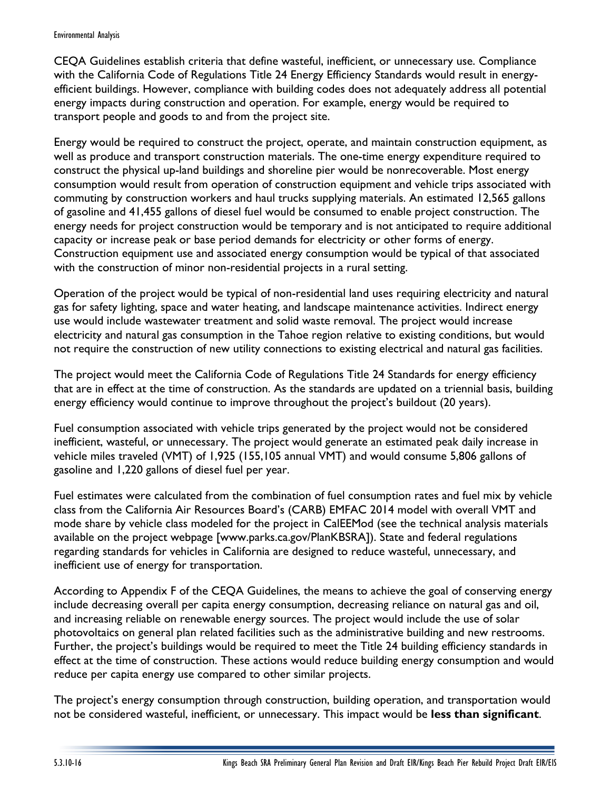#### Environmental Analysis

CEQA Guidelines establish criteria that define wasteful, inefficient, or unnecessary use. Compliance with the California Code of Regulations Title 24 Energy Efficiency Standards would result in energyefficient buildings. However, compliance with building codes does not adequately address all potential energy impacts during construction and operation. For example, energy would be required to transport people and goods to and from the project site.

Energy would be required to construct the project, operate, and maintain construction equipment, as well as produce and transport construction materials. The one-time energy expenditure required to construct the physical up-land buildings and shoreline pier would be nonrecoverable. Most energy consumption would result from operation of construction equipment and vehicle trips associated with commuting by construction workers and haul trucks supplying materials. An estimated 12,565 gallons of gasoline and 41,455 gallons of diesel fuel would be consumed to enable project construction. The energy needs for project construction would be temporary and is not anticipated to require additional capacity or increase peak or base period demands for electricity or other forms of energy. Construction equipment use and associated energy consumption would be typical of that associated with the construction of minor non-residential projects in a rural setting.

Operation of the project would be typical of non-residential land uses requiring electricity and natural gas for safety lighting, space and water heating, and landscape maintenance activities. Indirect energy use would include wastewater treatment and solid waste removal. The project would increase electricity and natural gas consumption in the Tahoe region relative to existing conditions, but would not require the construction of new utility connections to existing electrical and natural gas facilities.

The project would meet the California Code of Regulations Title 24 Standards for energy efficiency that are in effect at the time of construction. As the standards are updated on a triennial basis, building energy efficiency would continue to improve throughout the project's buildout (20 years).

Fuel consumption associated with vehicle trips generated by the project would not be considered inefficient, wasteful, or unnecessary. The project would generate an estimated peak daily increase in vehicle miles traveled (VMT) of 1,925 (155,105 annual VMT) and would consume 5,806 gallons of gasoline and 1,220 gallons of diesel fuel per year.

Fuel estimates were calculated from the combination of fuel consumption rates and fuel mix by vehicle class from the California Air Resources Board's (CARB) EMFAC 2014 model with overall VMT and mode share by vehicle class modeled for the project in CalEEMod (see the technical analysis materials available on the project webpage [www.parks.ca.gov/PlanKBSRA]). State and federal regulations regarding standards for vehicles in California are designed to reduce wasteful, unnecessary, and inefficient use of energy for transportation.

According to Appendix F of the CEQA Guidelines, the means to achieve the goal of conserving energy include decreasing overall per capita energy consumption, decreasing reliance on natural gas and oil, and increasing reliable on renewable energy sources. The project would include the use of solar photovoltaics on general plan related facilities such as the administrative building and new restrooms. Further, the project's buildings would be required to meet the Title 24 building efficiency standards in effect at the time of construction. These actions would reduce building energy consumption and would reduce per capita energy use compared to other similar projects.

The project's energy consumption through construction, building operation, and transportation would not be considered wasteful, inefficient, or unnecessary. This impact would be **less than significant**.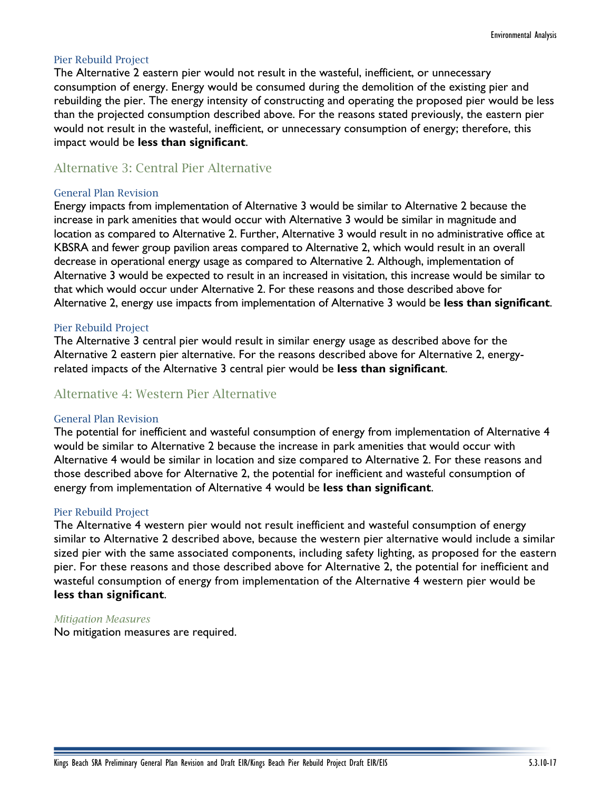### Pier Rebuild Project

The Alternative 2 eastern pier would not result in the wasteful, inefficient, or unnecessary consumption of energy. Energy would be consumed during the demolition of the existing pier and rebuilding the pier. The energy intensity of constructing and operating the proposed pier would be less than the projected consumption described above. For the reasons stated previously, the eastern pier would not result in the wasteful, inefficient, or unnecessary consumption of energy; therefore, this impact would be **less than significant**.

## Alternative 3: Central Pier Alternative

#### General Plan Revision

Energy impacts from implementation of Alternative 3 would be similar to Alternative 2 because the increase in park amenities that would occur with Alternative 3 would be similar in magnitude and location as compared to Alternative 2. Further, Alternative 3 would result in no administrative office at KBSRA and fewer group pavilion areas compared to Alternative 2, which would result in an overall decrease in operational energy usage as compared to Alternative 2. Although, implementation of Alternative 3 would be expected to result in an increased in visitation, this increase would be similar to that which would occur under Alternative 2. For these reasons and those described above for Alternative 2, energy use impacts from implementation of Alternative 3 would be **less than significant**.

#### Pier Rebuild Project

The Alternative 3 central pier would result in similar energy usage as described above for the Alternative 2 eastern pier alternative. For the reasons described above for Alternative 2, energyrelated impacts of the Alternative 3 central pier would be **less than significant**.

## Alternative 4: Western Pier Alternative

#### General Plan Revision

The potential for inefficient and wasteful consumption of energy from implementation of Alternative 4 would be similar to Alternative 2 because the increase in park amenities that would occur with Alternative 4 would be similar in location and size compared to Alternative 2. For these reasons and those described above for Alternative 2, the potential for inefficient and wasteful consumption of energy from implementation of Alternative 4 would be **less than significant**.

#### Pier Rebuild Project

The Alternative 4 western pier would not result inefficient and wasteful consumption of energy similar to Alternative 2 described above, because the western pier alternative would include a similar sized pier with the same associated components, including safety lighting, as proposed for the eastern pier. For these reasons and those described above for Alternative 2, the potential for inefficient and wasteful consumption of energy from implementation of the Alternative 4 western pier would be **less than significant**.

#### *Mitigation Measures*

No mitigation measures are required.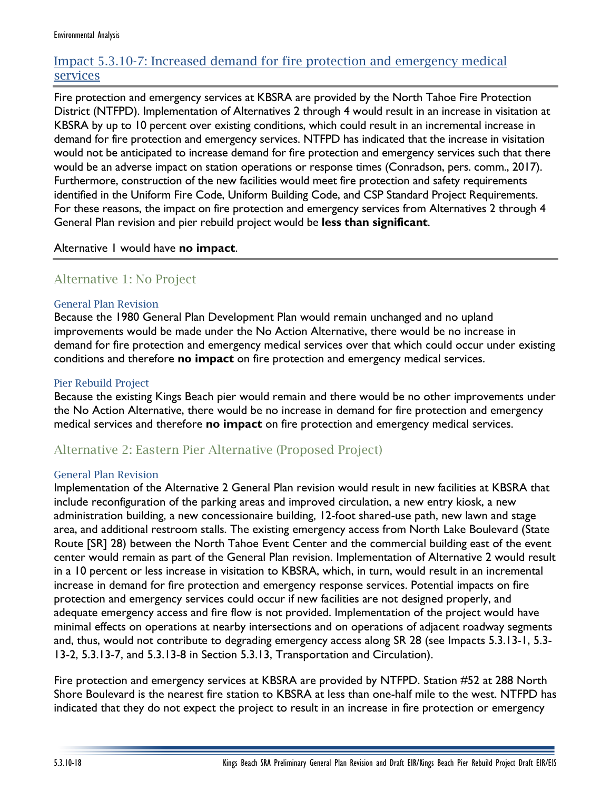## Impact 5.3.10-7: Increased demand for fire protection and emergency medical services

Fire protection and emergency services at KBSRA are provided by the North Tahoe Fire Protection District (NTFPD). Implementation of Alternatives 2 through 4 would result in an increase in visitation at KBSRA by up to 10 percent over existing conditions, which could result in an incremental increase in demand for fire protection and emergency services. NTFPD has indicated that the increase in visitation would not be anticipated to increase demand for fire protection and emergency services such that there would be an adverse impact on station operations or response times (Conradson, pers. comm., 2017). Furthermore, construction of the new facilities would meet fire protection and safety requirements identified in the Uniform Fire Code, Uniform Building Code, and CSP Standard Project Requirements. For these reasons, the impact on fire protection and emergency services from Alternatives 2 through 4 General Plan revision and pier rebuild project would be **less than significant**.

## Alternative 1 would have **no impact**.

## Alternative 1: No Project

## General Plan Revision

Because the 1980 General Plan Development Plan would remain unchanged and no upland improvements would be made under the No Action Alternative, there would be no increase in demand for fire protection and emergency medical services over that which could occur under existing conditions and therefore **no impact** on fire protection and emergency medical services.

## Pier Rebuild Project

Because the existing Kings Beach pier would remain and there would be no other improvements under the No Action Alternative, there would be no increase in demand for fire protection and emergency medical services and therefore **no impact** on fire protection and emergency medical services.

## Alternative 2: Eastern Pier Alternative (Proposed Project)

## General Plan Revision

Implementation of the Alternative 2 General Plan revision would result in new facilities at KBSRA that include reconfiguration of the parking areas and improved circulation, a new entry kiosk, a new administration building, a new concessionaire building, 12-foot shared-use path, new lawn and stage area, and additional restroom stalls. The existing emergency access from North Lake Boulevard (State Route [SR] 28) between the North Tahoe Event Center and the commercial building east of the event center would remain as part of the General Plan revision. Implementation of Alternative 2 would result in a 10 percent or less increase in visitation to KBSRA, which, in turn, would result in an incremental increase in demand for fire protection and emergency response services. Potential impacts on fire protection and emergency services could occur if new facilities are not designed properly, and adequate emergency access and fire flow is not provided. Implementation of the project would have minimal effects on operations at nearby intersections and on operations of adjacent roadway segments and, thus, would not contribute to degrading emergency access along SR 28 (see Impacts 5.3.13-1, 5.3- 13-2, 5.3.13-7, and 5.3.13-8 in Section 5.3.13, Transportation and Circulation).

Fire protection and emergency services at KBSRA are provided by NTFPD. Station #52 at 288 North Shore Boulevard is the nearest fire station to KBSRA at less than one-half mile to the west. NTFPD has indicated that they do not expect the project to result in an increase in fire protection or emergency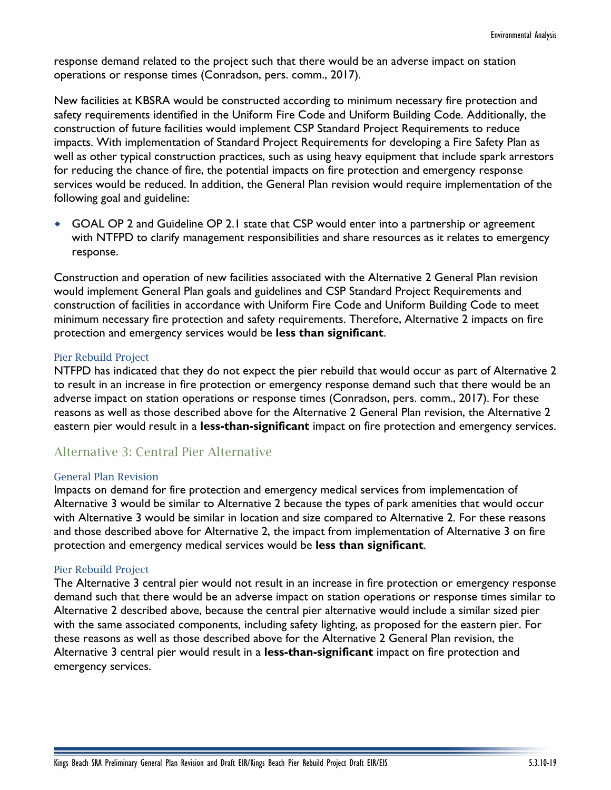response demand related to the project such that there would be an adverse impact on station operations or response times (Conradson, pers. comm., 2017).

New facilities at KBSRA would be constructed according to minimum necessary fire protection and safety requirements identified in the Uniform Fire Code and Uniform Building Code. Additionally, the construction of future facilities would implement CSP Standard Project Requirements to reduce impacts. With implementation of Standard Project Requirements for developing a Fire Safety Plan as well as other typical construction practices, such as using heavy equipment that include spark arrestors for reducing the chance of fire, the potential impacts on fire protection and emergency response services would be reduced. In addition, the General Plan revision would require implementation of the following goal and guideline:

 GOAL OP 2 and Guideline OP 2.1 state that CSP would enter into a partnership or agreement with NTFPD to clarify management responsibilities and share resources as it relates to emergency response.

Construction and operation of new facilities associated with the Alternative 2 General Plan revision would implement General Plan goals and guidelines and CSP Standard Project Requirements and construction of facilities in accordance with Uniform Fire Code and Uniform Building Code to meet minimum necessary fire protection and safety requirements. Therefore, Alternative 2 impacts on fire protection and emergency services would be **less than significant**.

## Pier Rebuild Project

NTFPD has indicated that they do not expect the pier rebuild that would occur as part of Alternative 2 to result in an increase in fire protection or emergency response demand such that there would be an adverse impact on station operations or response times (Conradson, pers. comm., 2017). For these reasons as well as those described above for the Alternative 2 General Plan revision, the Alternative 2 eastern pier would result in a **less-than-significant** impact on fire protection and emergency services.

## Alternative 3: Central Pier Alternative

#### General Plan Revision

Impacts on demand for fire protection and emergency medical services from implementation of Alternative 3 would be similar to Alternative 2 because the types of park amenities that would occur with Alternative 3 would be similar in location and size compared to Alternative 2. For these reasons and those described above for Alternative 2, the impact from implementation of Alternative 3 on fire protection and emergency medical services would be **less than significant**.

#### Pier Rebuild Project

The Alternative 3 central pier would not result in an increase in fire protection or emergency response demand such that there would be an adverse impact on station operations or response times similar to Alternative 2 described above, because the central pier alternative would include a similar sized pier with the same associated components, including safety lighting, as proposed for the eastern pier. For these reasons as well as those described above for the Alternative 2 General Plan revision, the Alternative 3 central pier would result in a **less-than-significant** impact on fire protection and emergency services.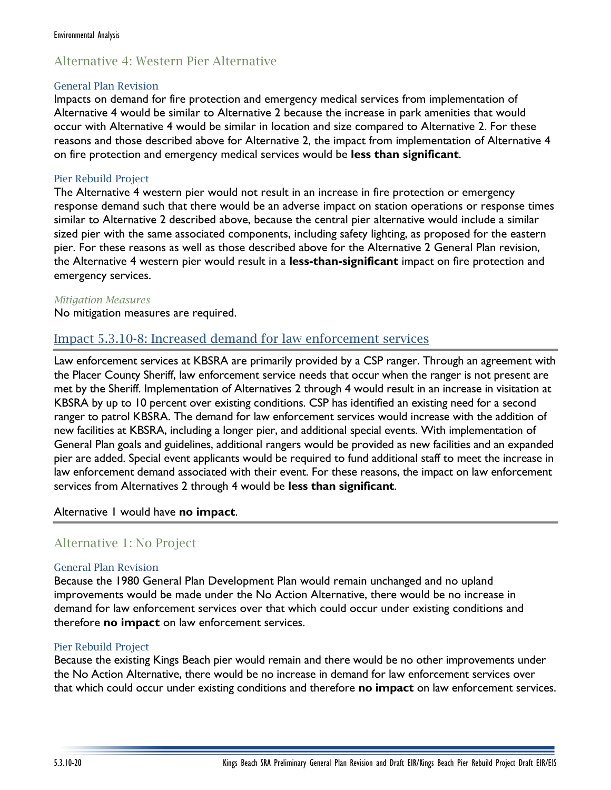## Alternative 4: Western Pier Alternative

### General Plan Revision

Impacts on demand for fire protection and emergency medical services from implementation of Alternative 4 would be similar to Alternative 2 because the increase in park amenities that would occur with Alternative 4 would be similar in location and size compared to Alternative 2. For these reasons and those described above for Alternative 2, the impact from implementation of Alternative 4 on fire protection and emergency medical services would be **less than significant**.

## Pier Rebuild Project

The Alternative 4 western pier would not result in an increase in fire protection or emergency response demand such that there would be an adverse impact on station operations or response times similar to Alternative 2 described above, because the central pier alternative would include a similar sized pier with the same associated components, including safety lighting, as proposed for the eastern pier. For these reasons as well as those described above for the Alternative 2 General Plan revision, the Alternative 4 western pier would result in a **less-than-significant** impact on fire protection and emergency services.

### *Mitigation Measures*

No mitigation measures are required.

## Impact 5.3.10-8: Increased demand for law enforcement services

Law enforcement services at KBSRA are primarily provided by a CSP ranger. Through an agreement with the Placer County Sheriff, law enforcement service needs that occur when the ranger is not present are met by the Sheriff. Implementation of Alternatives 2 through 4 would result in an increase in visitation at KBSRA by up to 10 percent over existing conditions. CSP has identified an existing need for a second ranger to patrol KBSRA. The demand for law enforcement services would increase with the addition of new facilities at KBSRA, including a longer pier, and additional special events. With implementation of General Plan goals and guidelines, additional rangers would be provided as new facilities and an expanded pier are added. Special event applicants would be required to fund additional staff to meet the increase in law enforcement demand associated with their event. For these reasons, the impact on law enforcement services from Alternatives 2 through 4 would be **less than significant**.

## Alternative 1 would have **no impact**.

## Alternative 1: No Project

## General Plan Revision

Because the 1980 General Plan Development Plan would remain unchanged and no upland improvements would be made under the No Action Alternative, there would be no increase in demand for law enforcement services over that which could occur under existing conditions and therefore **no impact** on law enforcement services.

## Pier Rebuild Project

Because the existing Kings Beach pier would remain and there would be no other improvements under the No Action Alternative, there would be no increase in demand for law enforcement services over that which could occur under existing conditions and therefore **no impact** on law enforcement services.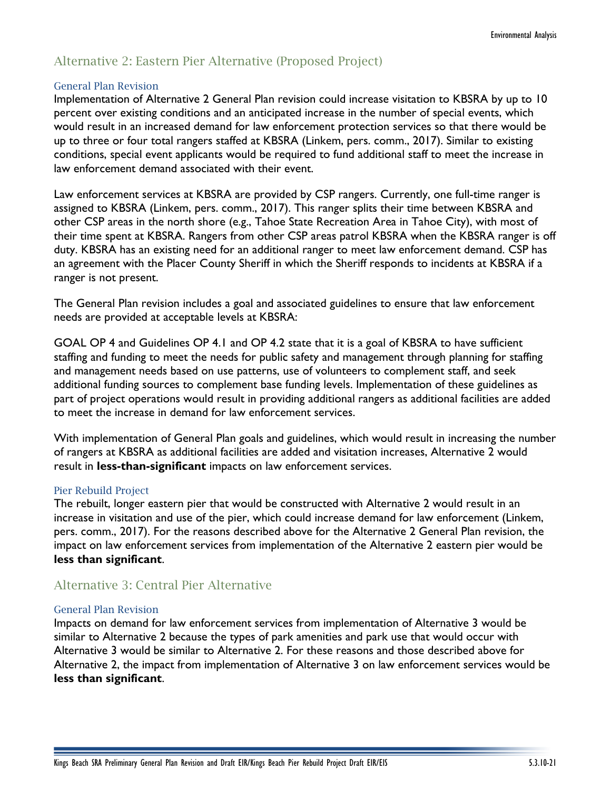## Alternative 2: Eastern Pier Alternative (Proposed Project)

### General Plan Revision

Implementation of Alternative 2 General Plan revision could increase visitation to KBSRA by up to 10 percent over existing conditions and an anticipated increase in the number of special events, which would result in an increased demand for law enforcement protection services so that there would be up to three or four total rangers staffed at KBSRA (Linkem, pers. comm., 2017). Similar to existing conditions, special event applicants would be required to fund additional staff to meet the increase in law enforcement demand associated with their event.

Law enforcement services at KBSRA are provided by CSP rangers. Currently, one full-time ranger is assigned to KBSRA (Linkem, pers. comm., 2017). This ranger splits their time between KBSRA and other CSP areas in the north shore (e.g., Tahoe State Recreation Area in Tahoe City), with most of their time spent at KBSRA. Rangers from other CSP areas patrol KBSRA when the KBSRA ranger is off duty. KBSRA has an existing need for an additional ranger to meet law enforcement demand. CSP has an agreement with the Placer County Sheriff in which the Sheriff responds to incidents at KBSRA if a ranger is not present.

The General Plan revision includes a goal and associated guidelines to ensure that law enforcement needs are provided at acceptable levels at KBSRA:

GOAL OP 4 and Guidelines OP 4.1 and OP 4.2 state that it is a goal of KBSRA to have sufficient staffing and funding to meet the needs for public safety and management through planning for staffing and management needs based on use patterns, use of volunteers to complement staff, and seek additional funding sources to complement base funding levels. Implementation of these guidelines as part of project operations would result in providing additional rangers as additional facilities are added to meet the increase in demand for law enforcement services.

With implementation of General Plan goals and guidelines, which would result in increasing the number of rangers at KBSRA as additional facilities are added and visitation increases, Alternative 2 would result in **less-than-significant** impacts on law enforcement services.

## Pier Rebuild Project

The rebuilt, longer eastern pier that would be constructed with Alternative 2 would result in an increase in visitation and use of the pier, which could increase demand for law enforcement (Linkem, pers. comm., 2017). For the reasons described above for the Alternative 2 General Plan revision, the impact on law enforcement services from implementation of the Alternative 2 eastern pier would be **less than significant**.

## Alternative 3: Central Pier Alternative

#### General Plan Revision

Impacts on demand for law enforcement services from implementation of Alternative 3 would be similar to Alternative 2 because the types of park amenities and park use that would occur with Alternative 3 would be similar to Alternative 2. For these reasons and those described above for Alternative 2, the impact from implementation of Alternative 3 on law enforcement services would be **less than significant**.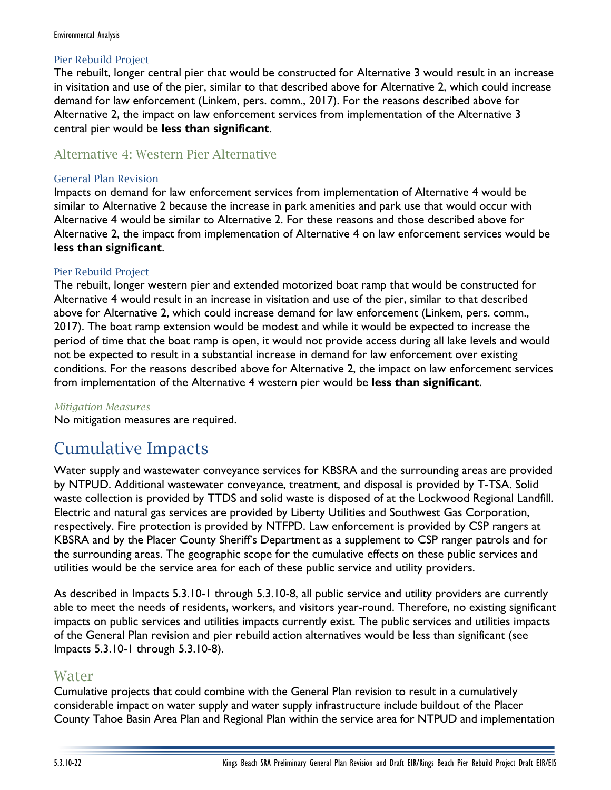## Pier Rebuild Project

The rebuilt, longer central pier that would be constructed for Alternative 3 would result in an increase in visitation and use of the pier, similar to that described above for Alternative 2, which could increase demand for law enforcement (Linkem, pers. comm., 2017). For the reasons described above for Alternative 2, the impact on law enforcement services from implementation of the Alternative 3 central pier would be **less than significant**.

## Alternative 4: Western Pier Alternative

## General Plan Revision

Impacts on demand for law enforcement services from implementation of Alternative 4 would be similar to Alternative 2 because the increase in park amenities and park use that would occur with Alternative 4 would be similar to Alternative 2. For these reasons and those described above for Alternative 2, the impact from implementation of Alternative 4 on law enforcement services would be **less than significant**.

## Pier Rebuild Project

The rebuilt, longer western pier and extended motorized boat ramp that would be constructed for Alternative 4 would result in an increase in visitation and use of the pier, similar to that described above for Alternative 2, which could increase demand for law enforcement (Linkem, pers. comm., 2017). The boat ramp extension would be modest and while it would be expected to increase the period of time that the boat ramp is open, it would not provide access during all lake levels and would not be expected to result in a substantial increase in demand for law enforcement over existing conditions. For the reasons described above for Alternative 2, the impact on law enforcement services from implementation of the Alternative 4 western pier would be **less than significant**.

## *Mitigation Measures*

No mitigation measures are required.

# Cumulative Impacts

Water supply and wastewater conveyance services for KBSRA and the surrounding areas are provided by NTPUD. Additional wastewater conveyance, treatment, and disposal is provided by T-TSA. Solid waste collection is provided by TTDS and solid waste is disposed of at the Lockwood Regional Landfill. Electric and natural gas services are provided by Liberty Utilities and Southwest Gas Corporation, respectively. Fire protection is provided by NTFPD. Law enforcement is provided by CSP rangers at KBSRA and by the Placer County Sheriff's Department as a supplement to CSP ranger patrols and for the surrounding areas. The geographic scope for the cumulative effects on these public services and utilities would be the service area for each of these public service and utility providers.

As described in Impacts 5.3.10-1 through 5.3.10-8, all public service and utility providers are currently able to meet the needs of residents, workers, and visitors year-round. Therefore, no existing significant impacts on public services and utilities impacts currently exist. The public services and utilities impacts of the General Plan revision and pier rebuild action alternatives would be less than significant (see Impacts 5.3.10-1 through 5.3.10-8).

## Water

Cumulative projects that could combine with the General Plan revision to result in a cumulatively considerable impact on water supply and water supply infrastructure include buildout of the Placer County Tahoe Basin Area Plan and Regional Plan within the service area for NTPUD and implementation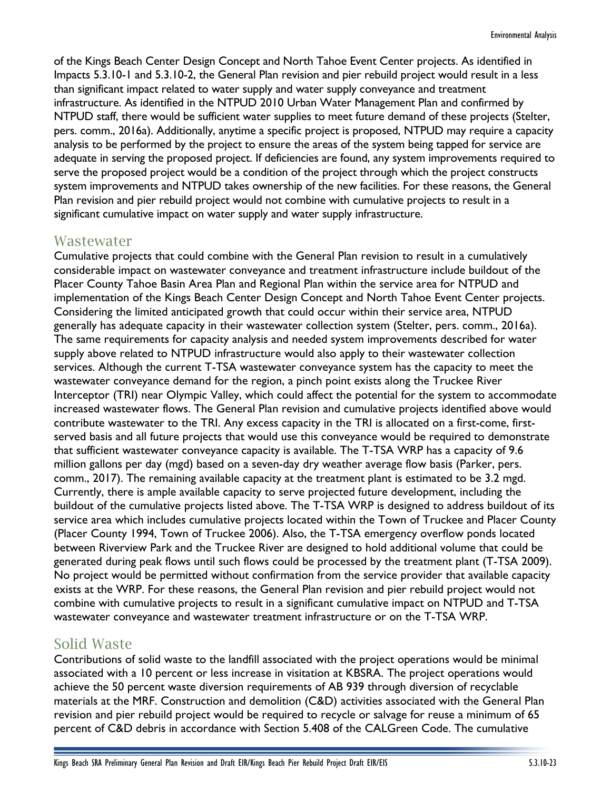of the Kings Beach Center Design Concept and North Tahoe Event Center projects. As identified in Impacts 5.3.10-1 and 5.3.10-2, the General Plan revision and pier rebuild project would result in a less than significant impact related to water supply and water supply conveyance and treatment infrastructure. As identified in the NTPUD 2010 Urban Water Management Plan and confirmed by NTPUD staff, there would be sufficient water supplies to meet future demand of these projects (Stelter, pers. comm., 2016a). Additionally, anytime a specific project is proposed, NTPUD may require a capacity analysis to be performed by the project to ensure the areas of the system being tapped for service are adequate in serving the proposed project. If deficiencies are found, any system improvements required to serve the proposed project would be a condition of the project through which the project constructs system improvements and NTPUD takes ownership of the new facilities. For these reasons, the General Plan revision and pier rebuild project would not combine with cumulative projects to result in a significant cumulative impact on water supply and water supply infrastructure.

## Wastewater

Cumulative projects that could combine with the General Plan revision to result in a cumulatively considerable impact on wastewater conveyance and treatment infrastructure include buildout of the Placer County Tahoe Basin Area Plan and Regional Plan within the service area for NTPUD and implementation of the Kings Beach Center Design Concept and North Tahoe Event Center projects. Considering the limited anticipated growth that could occur within their service area, NTPUD generally has adequate capacity in their wastewater collection system (Stelter, pers. comm., 2016a). The same requirements for capacity analysis and needed system improvements described for water supply above related to NTPUD infrastructure would also apply to their wastewater collection services. Although the current T-TSA wastewater conveyance system has the capacity to meet the wastewater conveyance demand for the region, a pinch point exists along the Truckee River Interceptor (TRI) near Olympic Valley, which could affect the potential for the system to accommodate increased wastewater flows. The General Plan revision and cumulative projects identified above would contribute wastewater to the TRI. Any excess capacity in the TRI is allocated on a first-come, firstserved basis and all future projects that would use this conveyance would be required to demonstrate that sufficient wastewater conveyance capacity is available. The T-TSA WRP has a capacity of 9.6 million gallons per day (mgd) based on a seven-day dry weather average flow basis (Parker, pers. comm., 2017). The remaining available capacity at the treatment plant is estimated to be 3.2 mgd. Currently, there is ample available capacity to serve projected future development, including the buildout of the cumulative projects listed above. The T-TSA WRP is designed to address buildout of its service area which includes cumulative projects located within the Town of Truckee and Placer County (Placer County 1994, Town of Truckee 2006). Also, the T-TSA emergency overflow ponds located between Riverview Park and the Truckee River are designed to hold additional volume that could be generated during peak flows until such flows could be processed by the treatment plant (T-TSA 2009). No project would be permitted without confirmation from the service provider that available capacity exists at the WRP. For these reasons, the General Plan revision and pier rebuild project would not combine with cumulative projects to result in a significant cumulative impact on NTPUD and T-TSA wastewater conveyance and wastewater treatment infrastructure or on the T-TSA WRP.

## Solid Waste

Contributions of solid waste to the landfill associated with the project operations would be minimal associated with a 10 percent or less increase in visitation at KBSRA. The project operations would achieve the 50 percent waste diversion requirements of AB 939 through diversion of recyclable materials at the MRF. Construction and demolition (C&D) activities associated with the General Plan revision and pier rebuild project would be required to recycle or salvage for reuse a minimum of 65 percent of C&D debris in accordance with Section 5.408 of the CALGreen Code. The cumulative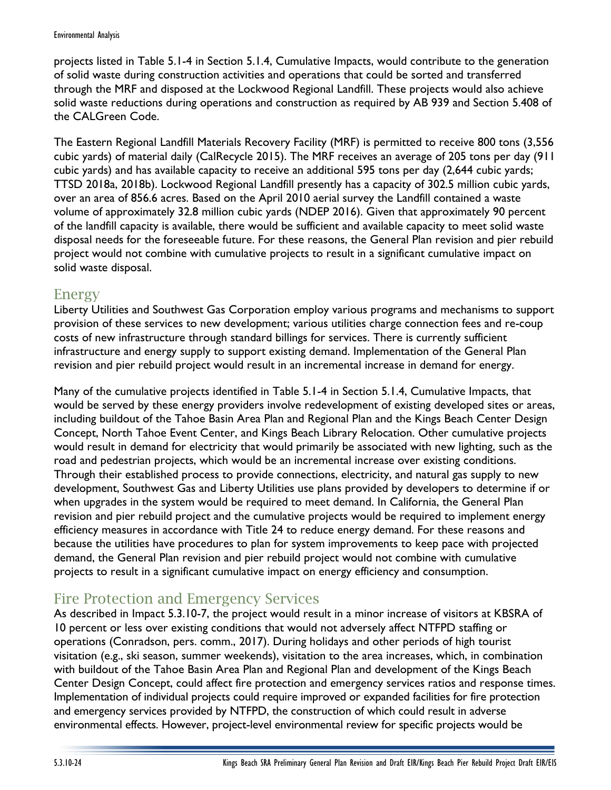projects listed in Table 5.1-4 in Section 5.1.4, Cumulative Impacts, would contribute to the generation of solid waste during construction activities and operations that could be sorted and transferred through the MRF and disposed at the Lockwood Regional Landfill. These projects would also achieve solid waste reductions during operations and construction as required by AB 939 and Section 5.408 of the CALGreen Code.

The Eastern Regional Landfill Materials Recovery Facility (MRF) is permitted to receive 800 tons (3,556 cubic yards) of material daily (CalRecycle 2015). The MRF receives an average of 205 tons per day (911 cubic yards) and has available capacity to receive an additional 595 tons per day (2,644 cubic yards; TTSD 2018a, 2018b). Lockwood Regional Landfill presently has a capacity of 302.5 million cubic yards, over an area of 856.6 acres. Based on the April 2010 aerial survey the Landfill contained a waste volume of approximately 32.8 million cubic yards (NDEP 2016). Given that approximately 90 percent of the landfill capacity is available, there would be sufficient and available capacity to meet solid waste disposal needs for the foreseeable future. For these reasons, the General Plan revision and pier rebuild project would not combine with cumulative projects to result in a significant cumulative impact on solid waste disposal.

## Energy

Liberty Utilities and Southwest Gas Corporation employ various programs and mechanisms to support provision of these services to new development; various utilities charge connection fees and re-coup costs of new infrastructure through standard billings for services. There is currently sufficient infrastructure and energy supply to support existing demand. Implementation of the General Plan revision and pier rebuild project would result in an incremental increase in demand for energy.

Many of the cumulative projects identified in Table 5.1-4 in Section 5.1.4, Cumulative Impacts, that would be served by these energy providers involve redevelopment of existing developed sites or areas, including buildout of the Tahoe Basin Area Plan and Regional Plan and the Kings Beach Center Design Concept, North Tahoe Event Center, and Kings Beach Library Relocation. Other cumulative projects would result in demand for electricity that would primarily be associated with new lighting, such as the road and pedestrian projects, which would be an incremental increase over existing conditions. Through their established process to provide connections, electricity, and natural gas supply to new development, Southwest Gas and Liberty Utilities use plans provided by developers to determine if or when upgrades in the system would be required to meet demand. In California, the General Plan revision and pier rebuild project and the cumulative projects would be required to implement energy efficiency measures in accordance with Title 24 to reduce energy demand. For these reasons and because the utilities have procedures to plan for system improvements to keep pace with projected demand, the General Plan revision and pier rebuild project would not combine with cumulative projects to result in a significant cumulative impact on energy efficiency and consumption.

# Fire Protection and Emergency Services

As described in Impact 5.3.10-7, the project would result in a minor increase of visitors at KBSRA of 10 percent or less over existing conditions that would not adversely affect NTFPD staffing or operations (Conradson, pers. comm., 2017). During holidays and other periods of high tourist visitation (e.g., ski season, summer weekends), visitation to the area increases, which, in combination with buildout of the Tahoe Basin Area Plan and Regional Plan and development of the Kings Beach Center Design Concept, could affect fire protection and emergency services ratios and response times. Implementation of individual projects could require improved or expanded facilities for fire protection and emergency services provided by NTFPD, the construction of which could result in adverse environmental effects. However, project-level environmental review for specific projects would be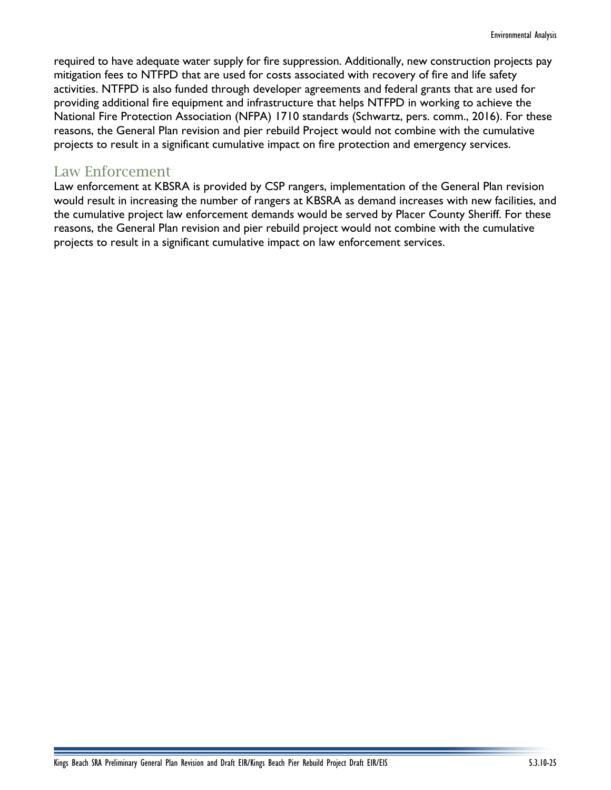required to have adequate water supply for fire suppression. Additionally, new construction projects pay mitigation fees to NTFPD that are used for costs associated with recovery of fire and life safety activities. NTFPD is also funded through developer agreements and federal grants that are used for providing additional fire equipment and infrastructure that helps NTFPD in working to achieve the National Fire Protection Association (NFPA) 1710 standards (Schwartz, pers. comm., 2016). For these reasons, the General Plan revision and pier rebuild Project would not combine with the cumulative projects to result in a significant cumulative impact on fire protection and emergency services.

## Law Enforcement

Law enforcement at KBSRA is provided by CSP rangers, implementation of the General Plan revision would result in increasing the number of rangers at KBSRA as demand increases with new facilities, and the cumulative project law enforcement demands would be served by Placer County Sheriff. For these reasons, the General Plan revision and pier rebuild project would not combine with the cumulative projects to result in a significant cumulative impact on law enforcement services.